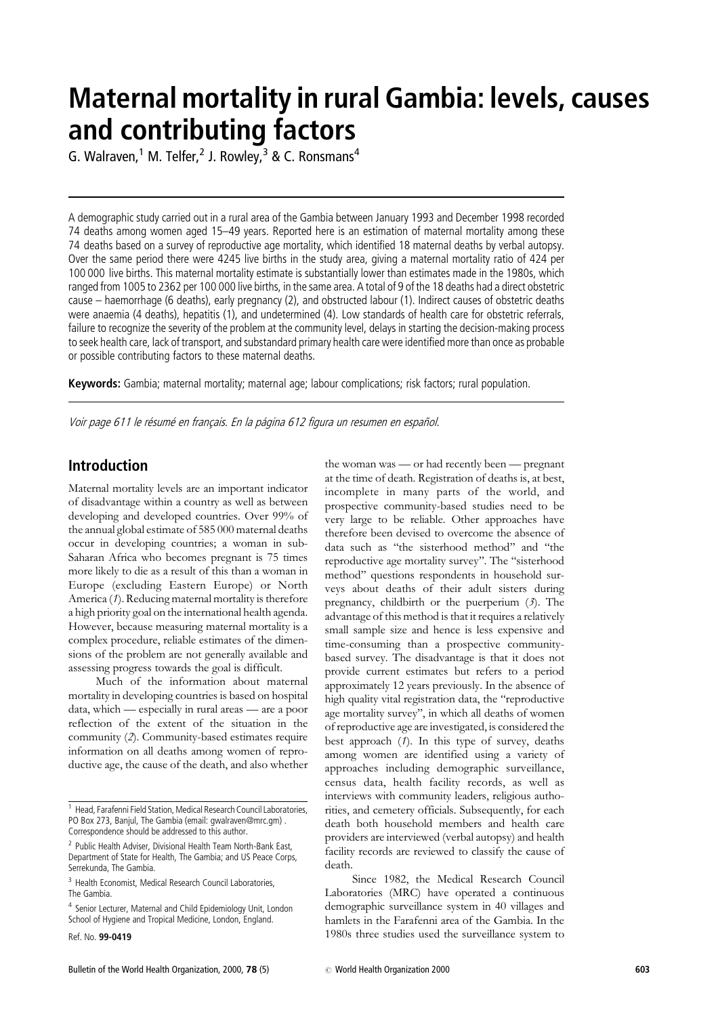# **Maternal mortality in rural Gambia: levels, causes** and contributing factors

G. Walraven,<sup>1</sup> M. Telfer,<sup>2</sup> J. Rowley,<sup>3</sup> & C. Ronsmans<sup>4</sup>

A demographic study carried out in a rural area of the Gambia between January 1993 and December 1998 recorded 74 deaths among women aged 15-49 years. Reported here is an estimation of maternal mortality among these 74 deaths based on a survey of reproductive age mortality, which identified 18 maternal deaths by verbal autopsy. Over the same period there were 4245 live births in the study area, giving a maternal mortality ratio of 424 per 100 000 live births. This maternal mortality estimate is substantially lower than estimates made in the 1980s, which ranged from 1005 to 2362 per 100 000 live births, in the same area. A total of 9 of the 18 deaths had a direct obstetric cause – haemorrhage (6 deaths), early pregnancy (2), and obstructed labour (1). Indirect causes of obstetric deaths were anaemia (4 deaths), hepatitis (1), and undetermined (4). Low standards of health care for obstetric referrals, failure to recognize the severity of the problem at the community level, delays in starting the decision-making process to seek health care, lack of transport, and substandard primary health care were identified more than once as probable or possible contributing factors to these maternal deaths.

Keywords: Gambia; maternal mortality; maternal age; labour complications; risk factors; rural population.

Voir page 611 le résumé en français. En la página 612 figura un resumen en español.

### **Introduction**

Maternal mortality levels are an important indicator of disadvantage within a country as well as between developing and developed countries. Over 99% of the annual global estimate of 585 000 maternal deaths occur in developing countries; a woman in sub-Saharan Africa who becomes pregnant is 75 times more likely to die as a result of this than a woman in Europe (excluding Eastern Europe) or North America (1). Reducing maternal mortality is therefore a high priority goal on the international health agenda. However, because measuring maternal mortality is a complex procedure, reliable estimates of the dimensions of the problem are not generally available and assessing progress towards the goal is difficult.

Much of the information about maternal mortality in developing countries is based on hospital data, which — especially in rural areas — are a poor reflection of the extent of the situation in the community (2). Community-based estimates require information on all deaths among women of reproductive age, the cause of the death, and also whether

Bulletin of the World Health Organization, 2000, 78 (5)

the woman was — or had recently been — pregnant at the time of death. Registration of deaths is, at best, incomplete in many parts of the world, and prospective community-based studies need to be very large to be reliable. Other approaches have therefore been devised to overcome the absence of data such as "the sisterhood method" and "the reproductive age mortality survey". The "sisterhood method" questions respondents in household surveys about deaths of their adult sisters during pregnancy, childbirth or the puerperium  $(3)$ . The advantage of this method is that it requires a relatively small sample size and hence is less expensive and time-consuming than a prospective communitybased survey. The disadvantage is that it does not provide current estimates but refers to a period approximately 12 years previously. In the absence of high quality vital registration data, the "reproductive age mortality survey", in which all deaths of women of reproductive age are investigated, is considered the best approach  $(1)$ . In this type of survey, deaths among women are identified using a variety of approaches including demographic surveillance, census data, health facility records, as well as interviews with community leaders, religious authorities, and cemetery officials. Subsequently, for each death both household members and health care providers are interviewed (verbal autopsy) and health facility records are reviewed to classify the cause of death

Since 1982, the Medical Research Council Laboratories (MRC) have operated a continuous demographic surveillance system in 40 villages and hamlets in the Farafenni area of the Gambia. In the 1980s three studies used the surveillance system to

<sup>&</sup>lt;sup>1</sup> Head, Farafenni Field Station, Medical Research Council Laboratories, PO Box 273, Banjul, The Gambia (email: gwalraven@mrc.gm). Correspondence should be addressed to this author.

<sup>&</sup>lt;sup>2</sup> Public Health Adviser, Divisional Health Team North-Bank East, Department of State for Health. The Gambia: and US Peace Corps. Serrekunda The Gambia

<sup>&</sup>lt;sup>3</sup> Health Economist, Medical Research Council Laboratories, The Gambia

<sup>&</sup>lt;sup>4</sup> Senior Lecturer, Maternal and Child Epidemiology Unit, London School of Hygiene and Tropical Medicine, London, England.

Ref. No. 99-0419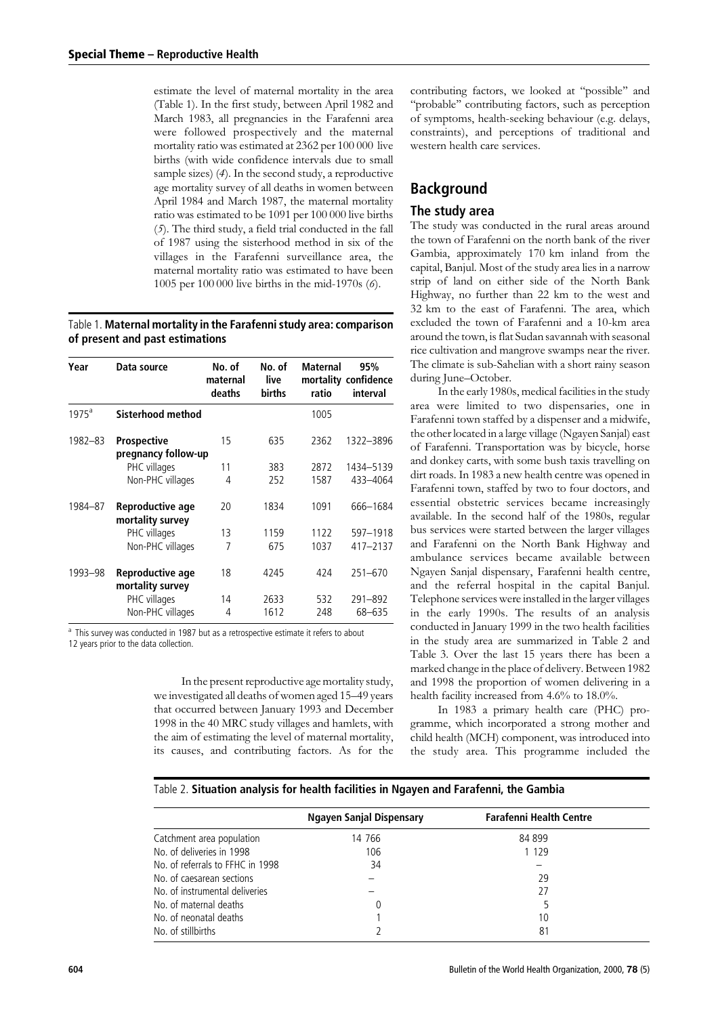estimate the level of maternal mortality in the area (Table 1). In the first study, between April 1982 and March 1983, all pregnancies in the Farafenni area were followed prospectively and the maternal mortality ratio was estimated at 2362 per 100 000 live births (with wide confidence intervals due to small sample sizes) (4). In the second study, a reproductive age mortality survey of all deaths in women between April 1984 and March 1987, the maternal mortality ratio was estimated to be 1091 per 100 000 live births (5). The third study, a field trial conducted in the fall of 1987 using the sisterhood method in six of the villages in the Farafenni surveillance area, the maternal mortality ratio was estimated to have been 1005 per 100 000 live births in the mid-1970s (6).

Table 1. Maternal mortality in the Farafenni study area: comparison of present and past estimations

| Year     | Data source                          | No. of<br>maternal<br>deaths | No. of<br>live<br><b>births</b> | <b>Maternal</b><br>ratio | 95%<br>mortality confidence<br>interval |
|----------|--------------------------------------|------------------------------|---------------------------------|--------------------------|-----------------------------------------|
| $1975^a$ | Sisterhood method                    |                              |                                 | 1005                     |                                         |
| 1982-83  | Prospective<br>pregnancy follow-up   | 15                           | 635                             | 2362                     | 1322-3896                               |
|          | PHC villages                         | 11                           | 383                             | 2872                     | 1434-5139                               |
|          | Non-PHC villages                     | 4                            | 252                             | 1587                     | 433-4064                                |
| 1984-87  | Reproductive age<br>mortality survey | 20                           | 1834                            | 1091                     | 666-1684                                |
|          | PHC villages                         | 13                           | 1159                            | 1122                     | 597-1918                                |
|          | Non-PHC villages                     | 7                            | 675                             | 1037                     | 417-2137                                |
| 1993-98  | Reproductive age<br>mortality survey | 18                           | 4245                            | 424                      | $251 - 670$                             |
|          | PHC villages                         | 14                           | 2633                            | 532                      | 291-892                                 |
|          | Non-PHC villages                     | 4                            | 1612                            | 248                      | 68-635                                  |

<sup>a</sup> This survey was conducted in 1987 but as a retrospective estimate it refers to about 12 years prior to the data collection.

> In the present reproductive age mortality study, we investigated all deaths of women aged 15-49 years that occurred between January 1993 and December 1998 in the 40 MRC study villages and hamlets, with the aim of estimating the level of maternal mortality, its causes, and contributing factors. As for the

contributing factors, we looked at "possible" and "probable" contributing factors, such as perception of symptoms, health-seeking behaviour (e.g. delays, constraints), and perceptions of traditional and western health care services.

## **Background**

### The study area

The study was conducted in the rural areas around the town of Farafenni on the north bank of the river Gambia, approximately 170 km inland from the capital, Banjul. Most of the study area lies in a narrow strip of land on either side of the North Bank Highway, no further than 22 km to the west and 32 km to the east of Farafenni. The area, which excluded the town of Farafenni and a 10-km area around the town, is flat Sudan savannah with seasonal rice cultivation and mangrove swamps near the river. The climate is sub-Sahelian with a short rainy season during June-October.

In the early 1980s, medical facilities in the study area were limited to two dispensaries, one in Farafenni town staffed by a dispenser and a midwife, the other located in a large village (Ngayen Sanjal) east of Farafenni. Transportation was by bicycle, horse and donkey carts, with some bush taxis travelling on dirt roads. In 1983 a new health centre was opened in Farafenni town, staffed by two to four doctors, and essential obstetric services became increasingly available. In the second half of the 1980s, regular bus services were started between the larger villages and Farafenni on the North Bank Highway and ambulance services became available between Ngayen Sanjal dispensary, Farafenni health centre, and the referral hospital in the capital Banjul. Telephone services were installed in the larger villages in the early 1990s. The results of an analysis conducted in January 1999 in the two health facilities in the study area are summarized in Table 2 and Table 3. Over the last 15 years there has been a marked change in the place of delivery. Between 1982 and 1998 the proportion of women delivering in a health facility increased from 4.6% to 18.0%.

In 1983 a primary health care (PHC) programme, which incorporated a strong mother and child health (MCH) component, was introduced into the study area. This programme included the

### Table 2. Situation analysis for health facilities in Ngayen and Farafenni, the Gambia

|                                  | <b>Ngayen Sanjal Dispensary</b> | <b>Farafenni Health Centre</b> |  |
|----------------------------------|---------------------------------|--------------------------------|--|
| Catchment area population        | 14 766                          | 84 899                         |  |
| No. of deliveries in 1998        | 106                             | 1 1 2 9                        |  |
| No. of referrals to FFHC in 1998 | 34                              |                                |  |
| No. of caesarean sections        |                                 | 29                             |  |
| No. of instrumental deliveries   |                                 | 27                             |  |
| No. of maternal deaths           |                                 |                                |  |
| No. of neonatal deaths           |                                 | 10                             |  |
| No. of stillbirths               |                                 | 81                             |  |
|                                  |                                 |                                |  |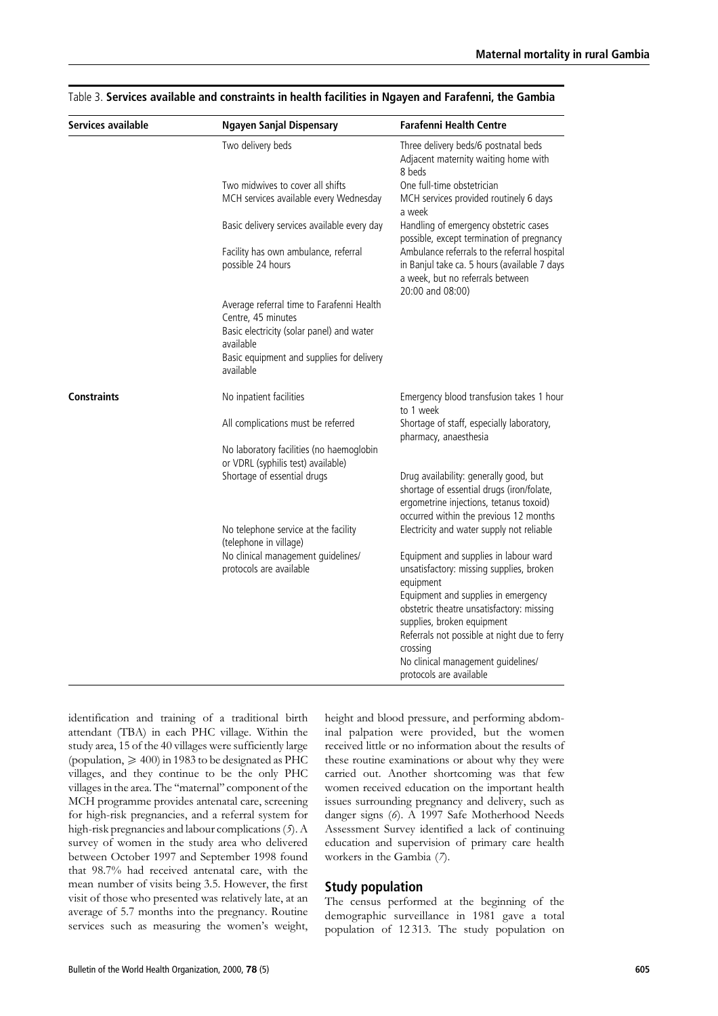| Services available | <b>Ngayen Sanjal Dispensary</b>                                                                              | <b>Farafenni Health Centre</b>                                                                                                                                             |  |  |
|--------------------|--------------------------------------------------------------------------------------------------------------|----------------------------------------------------------------------------------------------------------------------------------------------------------------------------|--|--|
|                    | Two delivery beds                                                                                            | Three delivery beds/6 postnatal beds<br>Adjacent maternity waiting home with<br>8 beds                                                                                     |  |  |
|                    | Two midwives to cover all shifts                                                                             | One full-time obstetrician                                                                                                                                                 |  |  |
|                    | MCH services available every Wednesday                                                                       | MCH services provided routinely 6 days<br>a week                                                                                                                           |  |  |
|                    | Basic delivery services available every day                                                                  | Handling of emergency obstetric cases<br>possible, except termination of pregnancy                                                                                         |  |  |
|                    | Facility has own ambulance, referral<br>possible 24 hours                                                    | Ambulance referrals to the referral hospital<br>in Banjul take ca. 5 hours (available 7 days<br>a week, but no referrals between<br>20:00 and 08:00)                       |  |  |
|                    | Average referral time to Farafenni Health<br>Centre, 45 minutes<br>Basic electricity (solar panel) and water |                                                                                                                                                                            |  |  |
|                    | available<br>Basic equipment and supplies for delivery<br>available                                          |                                                                                                                                                                            |  |  |
| <b>Constraints</b> | No inpatient facilities                                                                                      | Emergency blood transfusion takes 1 hour<br>to 1 week                                                                                                                      |  |  |
|                    | All complications must be referred                                                                           | Shortage of staff, especially laboratory,<br>pharmacy, anaesthesia                                                                                                         |  |  |
|                    | No laboratory facilities (no haemoglobin<br>or VDRL (syphilis test) available)                               |                                                                                                                                                                            |  |  |
|                    | Shortage of essential drugs                                                                                  | Drug availability: generally good, but<br>shortage of essential drugs (iron/folate,<br>ergometrine injections, tetanus toxoid)                                             |  |  |
|                    |                                                                                                              | occurred within the previous 12 months                                                                                                                                     |  |  |
|                    | No telephone service at the facility<br>(telephone in village)                                               | Electricity and water supply not reliable                                                                                                                                  |  |  |
|                    | No clinical management guidelines/<br>protocols are available                                                | Equipment and supplies in labour ward<br>unsatisfactory: missing supplies, broken<br>equipment                                                                             |  |  |
|                    |                                                                                                              | Equipment and supplies in emergency<br>obstetric theatre unsatisfactory: missing<br>supplies, broken equipment<br>Referrals not possible at night due to ferry<br>crossing |  |  |
|                    |                                                                                                              | No clinical management guidelines/<br>protocols are available                                                                                                              |  |  |

Table 3. Services available and constraints in health facilities in Ngayen and Farafenni, the Gambia

identification and training of a traditional birth attendant (TBA) in each PHC village. Within the study area, 15 of the 40 villages were sufficiently large (population,  $\geq 400$ ) in 1983 to be designated as PHC villages, and they continue to be the only PHC villages in the area. The "maternal" component of the MCH programme provides antenatal care, screening for high-risk pregnancies, and a referral system for high-risk pregnancies and labour complications (5). A survey of women in the study area who delivered between October 1997 and September 1998 found that 98.7% had received antenatal care, with the mean number of visits being 3.5. However, the first visit of those who presented was relatively late, at an average of 5.7 months into the pregnancy. Routine services such as measuring the women's weight, height and blood pressure, and performing abdominal palpation were provided, but the women received little or no information about the results of these routine examinations or about why they were carried out. Another shortcoming was that few women received education on the important health issues surrounding pregnancy and delivery, such as danger signs (6). A 1997 Safe Motherhood Needs Assessment Survey identified a lack of continuing education and supervision of primary care health workers in the Gambia (7).

#### **Study population**

The census performed at the beginning of the demographic surveillance in 1981 gave a total population of 12313. The study population on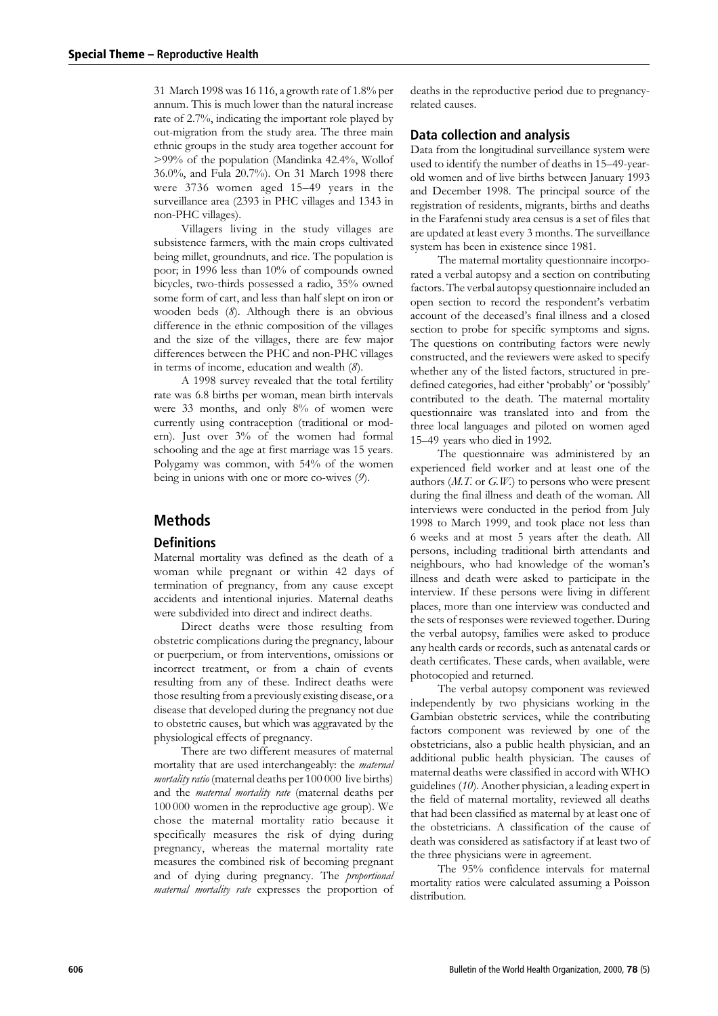31 March 1998 was 16 116, a growth rate of 1.8% per annum. This is much lower than the natural increase rate of 2.7%, indicating the important role played by out-migration from the study area. The three main ethnic groups in the study area together account for >99% of the population (Mandinka 42.4%, Wollof 36.0%, and Fula 20.7%). On 31 March 1998 there were 3736 women aged 15-49 years in the surveillance area (2393 in PHC villages and 1343 in non-PHC villages).

Villagers living in the study villages are subsistence farmers, with the main crops cultivated being millet, groundnuts, and rice. The population is poor; in 1996 less than 10% of compounds owned bicycles, two-thirds possessed a radio, 35% owned some form of cart, and less than half slept on iron or wooden beds (8). Although there is an obvious difference in the ethnic composition of the villages and the size of the villages, there are few major differences between the PHC and non-PHC villages in terms of income, education and wealth  $(8)$ .

A 1998 survey revealed that the total fertility rate was 6.8 births per woman, mean birth intervals were 33 months, and only 8% of women were currently using contraception (traditional or modern). Just over 3% of the women had formal schooling and the age at first marriage was 15 years. Polygamy was common, with 54% of the women being in unions with one or more co-wives  $(9)$ .

### **Methods**

### **Definitions**

Maternal mortality was defined as the death of a woman while pregnant or within 42 days of termination of pregnancy, from any cause except accidents and intentional injuries. Maternal deaths were subdivided into direct and indirect deaths.

Direct deaths were those resulting from obstetric complications during the pregnancy, labour or puerperium, or from interventions, omissions or incorrect treatment, or from a chain of events resulting from any of these. Indirect deaths were those resulting from a previously existing disease, or a disease that developed during the pregnancy not due to obstetric causes, but which was aggravated by the physiological effects of pregnancy.

There are two different measures of maternal mortality that are used interchangeably: the maternal *mortality ratio* (maternal deaths per 100 000 live births) and the *maternal mortality rate* (maternal deaths per 100 000 women in the reproductive age group). We chose the maternal mortality ratio because it specifically measures the risk of dying during pregnancy, whereas the maternal mortality rate measures the combined risk of becoming pregnant and of dying during pregnancy. The proportional maternal mortality rate expresses the proportion of deaths in the reproductive period due to pregnancyrelated causes.

### Data collection and analysis

Data from the longitudinal surveillance system were used to identify the number of deaths in 15-49-yearold women and of live births between January 1993 and December 1998. The principal source of the registration of residents, migrants, births and deaths in the Farafenni study area census is a set of files that are updated at least every 3 months. The surveillance system has been in existence since 1981.

The maternal mortality questionnaire incorporated a verbal autopsy and a section on contributing factors. The verbal autopsy questionnaire included an open section to record the respondent's verbatim account of the deceased's final illness and a closed section to probe for specific symptoms and signs. The questions on contributing factors were newly constructed, and the reviewers were asked to specify whether any of the listed factors, structured in predefined categories, had either 'probably' or 'possibly' contributed to the death. The maternal mortality questionnaire was translated into and from the three local languages and piloted on women aged 15-49 years who died in 1992.

The questionnaire was administered by an experienced field worker and at least one of the authors  $(M.T.$  or  $G.W.)$  to persons who were present during the final illness and death of the woman. All interviews were conducted in the period from July 1998 to March 1999, and took place not less than 6 weeks and at most 5 years after the death. All persons, including traditional birth attendants and neighbours, who had knowledge of the woman's illness and death were asked to participate in the interview. If these persons were living in different places, more than one interview was conducted and the sets of responses were reviewed together. During the verbal autopsy, families were asked to produce any health cards or records, such as antenatal cards or death certificates. These cards, when available, were photocopied and returned.

The verbal autopsy component was reviewed independently by two physicians working in the Gambian obstetric services, while the contributing factors component was reviewed by one of the obstetricians, also a public health physician, and an additional public health physician. The causes of maternal deaths were classified in accord with WHO guidelines (10). Another physician, a leading expert in the field of maternal mortality, reviewed all deaths that had been classified as maternal by at least one of the obstetricians. A classification of the cause of death was considered as satisfactory if at least two of the three physicians were in agreement.

The 95% confidence intervals for maternal mortality ratios were calculated assuming a Poisson distribution.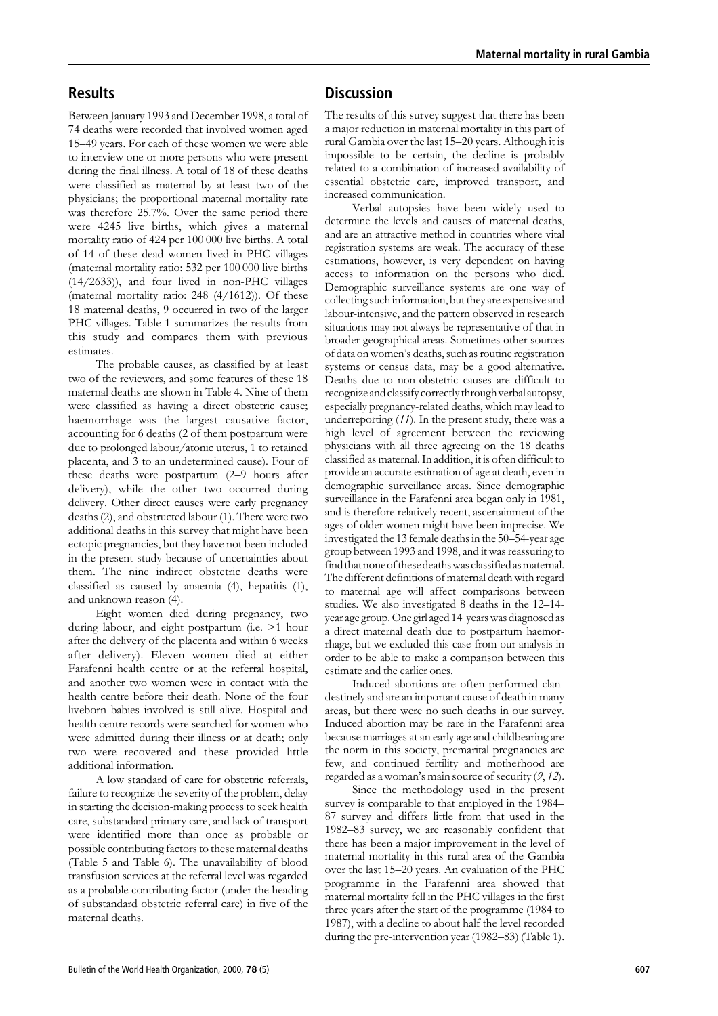### **Results**

Between January 1993 and December 1998, a total of 74 deaths were recorded that involved women aged 15-49 years. For each of these women we were able to interview one or more persons who were present during the final illness. A total of 18 of these deaths were classified as maternal by at least two of the physicians; the proportional maternal mortality rate was therefore 25.7%. Over the same period there were 4245 live births, which gives a maternal mortality ratio of 424 per 100 000 live births. A total of 14 of these dead women lived in PHC villages (maternal mortality ratio: 532 per 100 000 live births  $(14/2633)$ , and four lived in non-PHC villages (maternal mortality ratio: 248 (4/1612)). Of these 18 maternal deaths, 9 occurred in two of the larger PHC villages. Table 1 summarizes the results from this study and compares them with previous estimates.

The probable causes, as classified by at least two of the reviewers, and some features of these 18 maternal deaths are shown in Table 4. Nine of them were classified as having a direct obstetric cause; haemorrhage was the largest causative factor, accounting for 6 deaths (2 of them postpartum were due to prolonged labour/atonic uterus, 1 to retained placenta, and 3 to an undetermined cause). Four of these deaths were postpartum (2-9 hours after delivery), while the other two occurred during delivery. Other direct causes were early pregnancy deaths (2), and obstructed labour (1). There were two additional deaths in this survey that might have been ectopic pregnancies, but they have not been included in the present study because of uncertainties about them. The nine indirect obstetric deaths were classified as caused by anaemia (4), hepatitis (1), and unknown reason (4).

Eight women died during pregnancy, two during labour, and eight postpartum (i.e. >1 hour after the delivery of the placenta and within 6 weeks after delivery). Eleven women died at either Farafenni health centre or at the referral hospital. and another two women were in contact with the health centre before their death. None of the four liveborn babies involved is still alive. Hospital and health centre records were searched for women who were admitted during their illness or at death; only two were recovered and these provided little additional information.

A low standard of care for obstetric referrals. failure to recognize the severity of the problem, delay in starting the decision-making process to seek health care, substandard primary care, and lack of transport were identified more than once as probable or possible contributing factors to these maternal deaths (Table 5 and Table 6). The unavailability of blood transfusion services at the referral level was regarded as a probable contributing factor (under the heading of substandard obstetric referral care) in five of the maternal deaths.

### **Discussion**

The results of this survey suggest that there has been a major reduction in maternal mortality in this part of rural Gambia over the last 15-20 years. Although it is impossible to be certain, the decline is probably related to a combination of increased availability of essential obstetric care, improved transport, and increased communication.

Verbal autopsies have been widely used to determine the levels and causes of maternal deaths and are an attractive method in countries where vital registration systems are weak. The accuracy of these estimations, however, is very dependent on having access to information on the persons who died. Demographic surveillance systems are one way of collecting such information, but they are expensive and labour-intensive, and the pattern observed in research situations may not always be representative of that in broader geographical areas. Sometimes other sources of data on women's deaths, such as routine registration systems or census data, may be a good alternative. Deaths due to non-obstetric causes are difficult to recognize and classify correctly through verbal autopsy, especially pregnancy-related deaths, which may lead to underreporting  $(11)$ . In the present study, there was a high level of agreement between the reviewing physicians with all three agreeing on the 18 deaths classified as maternal. In addition, it is often difficult to provide an accurate estimation of age at death, even in demographic surveillance areas. Since demographic surveillance in the Farafenni area began only in 1981, and is therefore relatively recent, ascertainment of the ages of older women might have been imprecise. We investigated the 13 female deaths in the 50–54-year age group between 1993 and 1998, and it was reassuring to find that none of these deaths was classified as maternal. The different definitions of maternal death with regard to maternal age will affect comparisons between studies. We also investigated 8 deaths in the 12-14year age group. One girl aged 14 years was diagnosed as a direct maternal death due to postpartum haemorrhage, but we excluded this case from our analysis in order to be able to make a comparison between this estimate and the earlier ones.

Induced abortions are often performed clandestinely and are an important cause of death in many areas, but there were no such deaths in our survey. Induced abortion may be rare in the Farafenni area because marriages at an early age and childbearing are the norm in this society, premarital pregnancies are few, and continued fertility and motherhood are regarded as a woman's main source of security (9, 12).

Since the methodology used in the present survey is comparable to that employed in the 1984-87 survey and differs little from that used in the 1982-83 survey, we are reasonably confident that there has been a major improvement in the level of maternal mortality in this rural area of the Gambia over the last 15-20 years. An evaluation of the PHC programme in the Farafenni area showed that maternal mortality fell in the PHC villages in the first three years after the start of the programme (1984 to 1987), with a decline to about half the level recorded during the pre-intervention year (1982–83) (Table 1).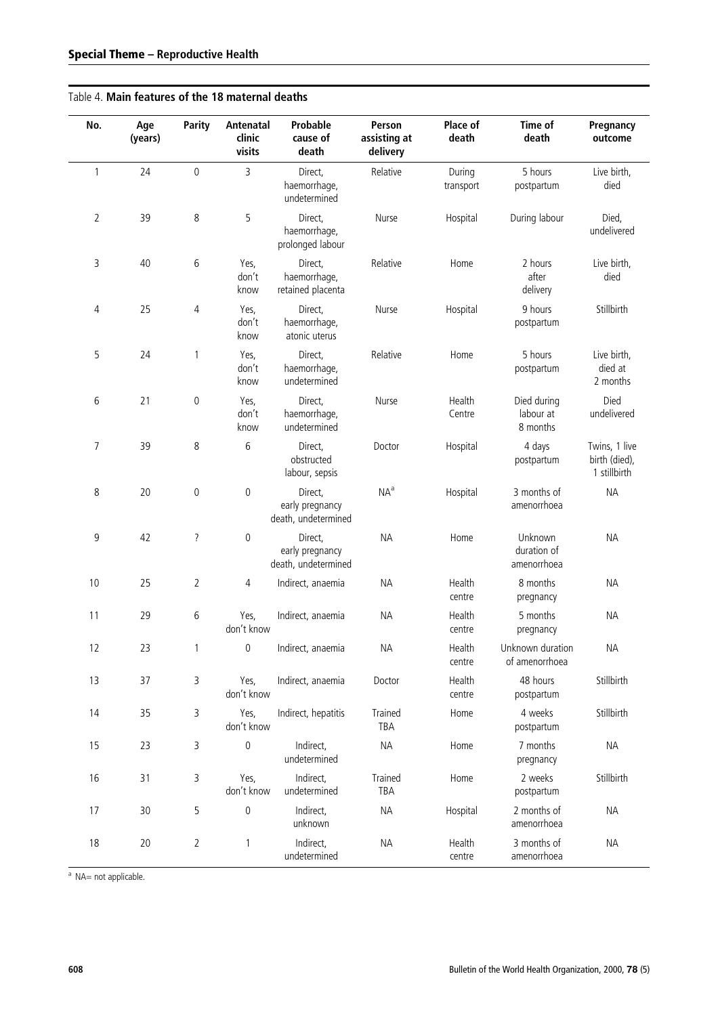### Table 4. Main features of the 18 maternal deaths

| No.            | Age<br>(years) | <b>Parity</b>    | Antenatal<br>clinic<br>visits | Probable<br>cause of<br>death                     | Person<br>assisting at<br>delivery | Place of<br>death   | Time of<br>death                      | Pregnancy<br>outcome                           |
|----------------|----------------|------------------|-------------------------------|---------------------------------------------------|------------------------------------|---------------------|---------------------------------------|------------------------------------------------|
| $\mathbf{1}$   | 24             | $\boldsymbol{0}$ | 3                             | Direct,<br>haemorrhage,<br>undetermined           | Relative                           | During<br>transport | 5 hours<br>postpartum                 | Live birth,<br>died                            |
| $\overline{2}$ | 39             | 8                | 5                             | Direct,<br>haemorrhage,<br>prolonged labour       | Nurse                              | Hospital            | During labour                         | Died,<br>undelivered                           |
| 3              | 40             | $\,$ 6 $\,$      | Yes,<br>don't<br>know         | Direct,<br>haemorrhage,<br>retained placenta      | Relative                           | Home                | 2 hours<br>after<br>delivery          | Live birth,<br>died                            |
| 4              | 25             | 4                | Yes,<br>don't<br>know         | Direct,<br>haemorrhage,<br>atonic uterus          | Nurse                              | Hospital            | 9 hours<br>postpartum                 | Stillbirth                                     |
| 5              | 24             | 1                | Yes,<br>don't<br>know         | Direct,<br>haemorrhage,<br>undetermined           | Relative                           | Home                | 5 hours<br>postpartum                 | Live birth,<br>died at<br>2 months             |
| 6              | 21             | $\,0\,$          | Yes,<br>don't<br>know         | Direct,<br>haemorrhage,<br>undetermined           | Nurse                              | Health<br>Centre    | Died during<br>labour at<br>8 months  | Died<br>undelivered                            |
| $\overline{7}$ | 39             | 8                | 6                             | Direct,<br>obstructed<br>labour, sepsis           | Doctor                             | Hospital            | 4 days<br>postpartum                  | Twins, 1 live<br>birth (died),<br>1 stillbirth |
| 8              | 20             | $\mathbf 0$      | $\pmb{0}$                     | Direct,<br>early pregnancy<br>death, undetermined | NA <sup>a</sup>                    | Hospital            | 3 months of<br>amenorrhoea            | <b>NA</b>                                      |
| 9              | 42             | ?                | 0                             | Direct,<br>early pregnancy<br>death, undetermined | <b>NA</b>                          | Home                | Unknown<br>duration of<br>amenorrhoea | <b>NA</b>                                      |
| 10             | 25             | $\overline{2}$   | 4                             | Indirect, anaemia                                 | <b>NA</b>                          | Health<br>centre    | 8 months<br>pregnancy                 | <b>NA</b>                                      |
| 11             | 29             | 6                | Yes,<br>don't know            | Indirect, anaemia                                 | <b>NA</b>                          | Health<br>centre    | 5 months<br>pregnancy                 | <b>NA</b>                                      |
| 12             | 23             | 1                | $\overline{0}$                | Indirect, anaemia                                 | ΝA                                 | Health<br>centre    | Unknown duration<br>of amenorrhoea    | <b>NA</b>                                      |
| 13             | 37             | 3                | Yes,<br>don't know            | Indirect, anaemia                                 | Doctor                             | Health<br>centre    | 48 hours<br>postpartum                | Stillbirth                                     |
| 14             | 35             | 3                | Yes,<br>don't know            | Indirect, hepatitis                               | Trained<br>TBA                     | Home                | 4 weeks<br>postpartum                 | Stillbirth                                     |
| 15             | 23             | 3                | $\pmb{0}$                     | Indirect,<br>undetermined                         | NA                                 | Home                | 7 months<br>pregnancy                 | <b>NA</b>                                      |
| 16             | 31             | 3                | Yes,<br>don't know            | Indirect,<br>undetermined                         | Trained<br>TBA                     | Home                | 2 weeks<br>postpartum                 | Stillbirth                                     |
| 17             | 30             | 5                | $\boldsymbol{0}$              | Indirect,<br>unknown                              | <b>NA</b>                          | Hospital            | 2 months of<br>amenorrhoea            | <b>NA</b>                                      |
| 18             | 20             | $\overline{2}$   | $\mathbbm{1}$                 | Indirect,<br>undetermined                         | ΝA                                 | Health<br>centre    | 3 months of<br>amenorrhoea            | <b>NA</b>                                      |

 $\overline{N}$  NA= not applicable.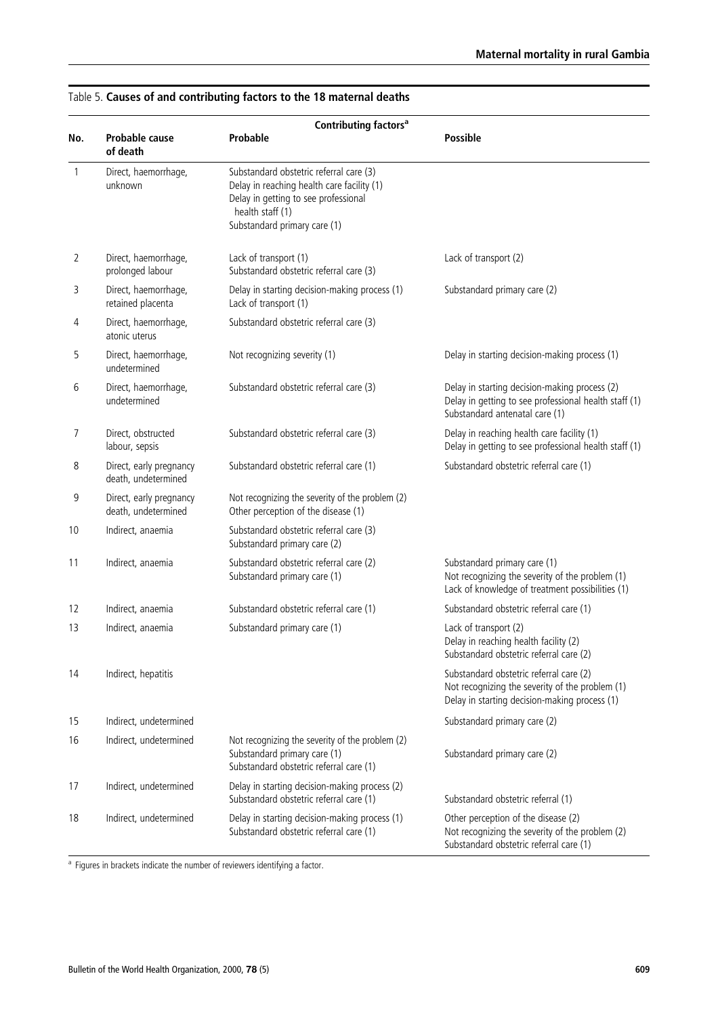|              | Contributing factors <sup>a</sup>              |                                                                                                                                                                                   |                                                                                                                                             |  |  |  |  |
|--------------|------------------------------------------------|-----------------------------------------------------------------------------------------------------------------------------------------------------------------------------------|---------------------------------------------------------------------------------------------------------------------------------------------|--|--|--|--|
| No.          | Probable cause<br>of death                     | Probable                                                                                                                                                                          | <b>Possible</b>                                                                                                                             |  |  |  |  |
| $\mathbf{1}$ | Direct, haemorrhage,<br>unknown                | Substandard obstetric referral care (3)<br>Delay in reaching health care facility (1)<br>Delay in getting to see professional<br>health staff (1)<br>Substandard primary care (1) |                                                                                                                                             |  |  |  |  |
| 2            | Direct, haemorrhage,<br>prolonged labour       | Lack of transport (1)<br>Substandard obstetric referral care (3)                                                                                                                  | Lack of transport (2)                                                                                                                       |  |  |  |  |
| 3            | Direct, haemorrhage,<br>retained placenta      | Delay in starting decision-making process (1)<br>Lack of transport (1)                                                                                                            | Substandard primary care (2)                                                                                                                |  |  |  |  |
| 4            | Direct, haemorrhage,<br>atonic uterus          | Substandard obstetric referral care (3)                                                                                                                                           |                                                                                                                                             |  |  |  |  |
| 5            | Direct, haemorrhage,<br>undetermined           | Not recognizing severity (1)                                                                                                                                                      | Delay in starting decision-making process (1)                                                                                               |  |  |  |  |
| 6            | Direct, haemorrhage,<br>undetermined           | Substandard obstetric referral care (3)                                                                                                                                           | Delay in starting decision-making process (2)<br>Delay in getting to see professional health staff (1)<br>Substandard antenatal care (1)    |  |  |  |  |
| 7            | Direct, obstructed<br>labour, sepsis           | Substandard obstetric referral care (3)                                                                                                                                           | Delay in reaching health care facility (1)<br>Delay in getting to see professional health staff (1)                                         |  |  |  |  |
| 8            | Direct, early pregnancy<br>death, undetermined | Substandard obstetric referral care (1)                                                                                                                                           | Substandard obstetric referral care (1)                                                                                                     |  |  |  |  |
| 9            | Direct, early pregnancy<br>death, undetermined | Not recognizing the severity of the problem (2)<br>Other perception of the disease (1)                                                                                            |                                                                                                                                             |  |  |  |  |
| 10           | Indirect, anaemia                              | Substandard obstetric referral care (3)<br>Substandard primary care (2)                                                                                                           |                                                                                                                                             |  |  |  |  |
| 11           | Indirect, anaemia                              | Substandard obstetric referral care (2)<br>Substandard primary care (1)                                                                                                           | Substandard primary care (1)<br>Not recognizing the severity of the problem (1)<br>Lack of knowledge of treatment possibilities (1)         |  |  |  |  |
| 12           | Indirect, anaemia                              | Substandard obstetric referral care (1)                                                                                                                                           | Substandard obstetric referral care (1)                                                                                                     |  |  |  |  |
| 13           | Indirect, anaemia                              | Substandard primary care (1)                                                                                                                                                      | Lack of transport (2)<br>Delay in reaching health facility (2)<br>Substandard obstetric referral care (2)                                   |  |  |  |  |
| 14           | Indirect, hepatitis                            |                                                                                                                                                                                   | Substandard obstetric referral care (2)<br>Not recognizing the severity of the problem (1)<br>Delay in starting decision-making process (1) |  |  |  |  |
| 15           | Indirect, undetermined                         |                                                                                                                                                                                   | Substandard primary care (2)                                                                                                                |  |  |  |  |
| 16           | Indirect, undetermined                         | Not recognizing the severity of the problem (2)<br>Substandard primary care (1)<br>Substandard obstetric referral care (1)                                                        | Substandard primary care (2)                                                                                                                |  |  |  |  |
| 17           | Indirect, undetermined                         | Delay in starting decision-making process (2)<br>Substandard obstetric referral care (1)                                                                                          | Substandard obstetric referral (1)                                                                                                          |  |  |  |  |
| 18           | Indirect, undetermined                         | Delay in starting decision-making process (1)<br>Substandard obstetric referral care (1)                                                                                          | Other perception of the disease (2)<br>Not recognizing the severity of the problem (2)<br>Substandard obstetric referral care (1)           |  |  |  |  |

### Table 5. Causes of and contributing factors to the 18 maternal deaths

<sup>a</sup> Figures in brackets indicate the number of reviewers identifying a factor.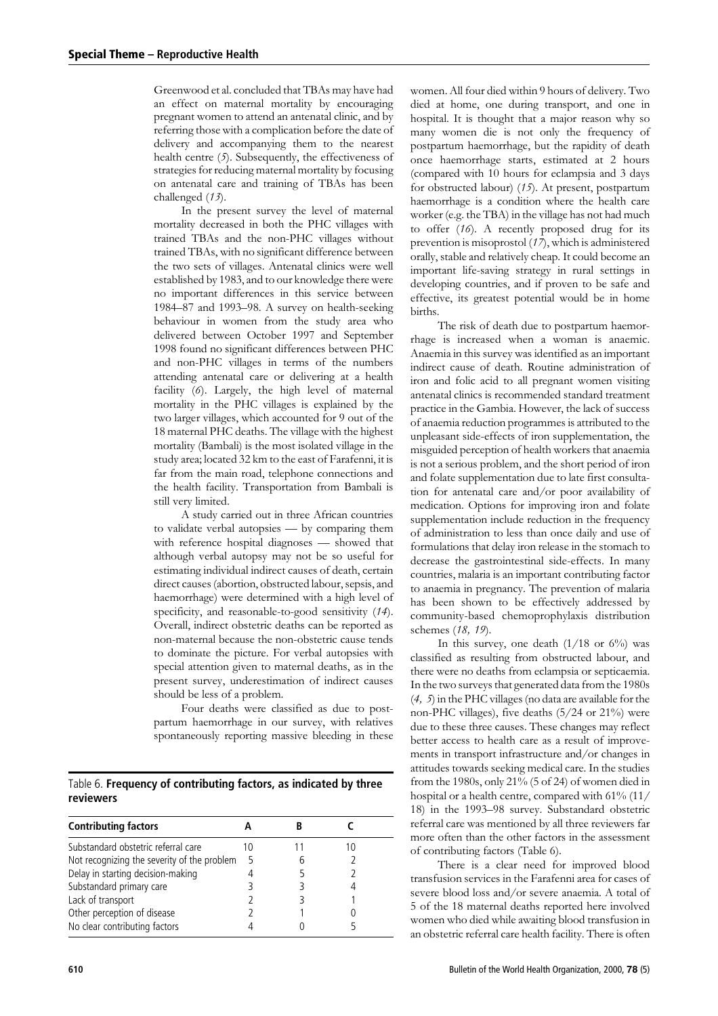Greenwood et al. concluded that TBAs may have had an effect on maternal mortality by encouraging pregnant women to attend an antenatal clinic, and by referring those with a complication before the date of delivery and accompanying them to the nearest health centre  $(5)$ . Subsequently, the effectiveness of strategies for reducing maternal mortality by focusing on antenatal care and training of TBAs has been challenged (13).

In the present survey the level of maternal mortality decreased in both the PHC villages with trained TBAs and the non-PHC villages without trained TBAs, with no significant difference between the two sets of villages. Antenatal clinics were well established by 1983, and to our knowledge there were no important differences in this service between 1984–87 and 1993–98. A survey on health-seeking behaviour in women from the study area who delivered between October 1997 and September 1998 found no significant differences between PHC and non-PHC villages in terms of the numbers attending antenatal care or delivering at a health facility (6). Largely, the high level of maternal mortality in the PHC villages is explained by the two larger villages, which accounted for 9 out of the 18 maternal PHC deaths. The village with the highest mortality (Bambali) is the most isolated village in the study area; located 32 km to the east of Farafenni, it is far from the main road, telephone connections and the health facility. Transportation from Bambali is still very limited.

A study carried out in three African countries to validate verbal autopsies - by comparing them with reference hospital diagnoses - showed that although verbal autopsy may not be so useful for estimating individual indirect causes of death, certain direct causes (abortion, obstructed labour, sepsis, and haemorrhage) were determined with a high level of specificity, and reasonable-to-good sensitivity (14). Overall, indirect obstetric deaths can be reported as non-maternal because the non-obstetric cause tends to dominate the picture. For verbal autopsies with special attention given to maternal deaths, as in the present survey, underestimation of indirect causes should be less of a problem.

Four deaths were classified as due to postpartum haemorrhage in our survey, with relatives spontaneously reporting massive bleeding in these

Table 6. Frequency of contributing factors, as indicated by three reviewers

| <b>Contributing factors</b>                 |   |  |  |
|---------------------------------------------|---|--|--|
| Substandard obstetric referral care         |   |  |  |
| Not recognizing the severity of the problem | 5 |  |  |
| Delay in starting decision-making           |   |  |  |
| Substandard primary care                    |   |  |  |
| Lack of transport                           |   |  |  |
| Other perception of disease                 |   |  |  |
| No clear contributing factors               |   |  |  |

women. All four died within 9 hours of delivery. Two died at home, one during transport, and one in hospital. It is thought that a major reason why so many women die is not only the frequency of postpartum haemorrhage, but the rapidity of death once haemorrhage starts, estimated at 2 hours (compared with 10 hours for eclampsia and 3 days for obstructed labour) (15). At present, postpartum haemorrhage is a condition where the health care worker (e.g. the TBA) in the village has not had much to offer  $(16)$ . A recently proposed drug for its prevention is misoprostol  $(17)$ , which is administered orally, stable and relatively cheap. It could become an important life-saving strategy in rural settings in developing countries, and if proven to be safe and effective, its greatest potential would be in home births.

The risk of death due to postpartum haemorrhage is increased when a woman is anaemic. Anaemia in this survey was identified as an important indirect cause of death. Routine administration of iron and folic acid to all pregnant women visiting antenatal clinics is recommended standard treatment practice in the Gambia. However, the lack of success of anaemia reduction programmes is attributed to the unpleasant side-effects of iron supplementation, the misguided perception of health workers that anaemia is not a serious problem, and the short period of iron and folate supplementation due to late first consultation for antenatal care and/or poor availability of medication. Options for improving iron and folate supplementation include reduction in the frequency of administration to less than once daily and use of formulations that delay iron release in the stomach to decrease the gastrointestinal side-effects. In many countries, malaria is an important contributing factor to anaemia in pregnancy. The prevention of malaria has been shown to be effectively addressed by community-based chemoprophylaxis distribution schemes (18, 19).

In this survey, one death  $(1/18$  or  $6\%)$  was classified as resulting from obstructed labour, and there were no deaths from eclampsia or septicaemia. In the two surveys that generated data from the 1980s  $(4, 5)$  in the PHC villages (no data are available for the non-PHC villages), five deaths (5/24 or 21%) were due to these three causes. These changes may reflect better access to health care as a result of improvements in transport infrastructure and/or changes in attitudes towards seeking medical care. In the studies from the 1980s, only 21% (5 of 24) of women died in hospital or a health centre, compared with 61% (11/ 18) in the 1993-98 survey. Substandard obstetric referral care was mentioned by all three reviewers far more often than the other factors in the assessment of contributing factors (Table 6).

There is a clear need for improved blood transfusion services in the Farafenni area for cases of severe blood loss and/or severe anaemia. A total of 5 of the 18 maternal deaths reported here involved women who died while awaiting blood transfusion in an obstetric referral care health facility. There is often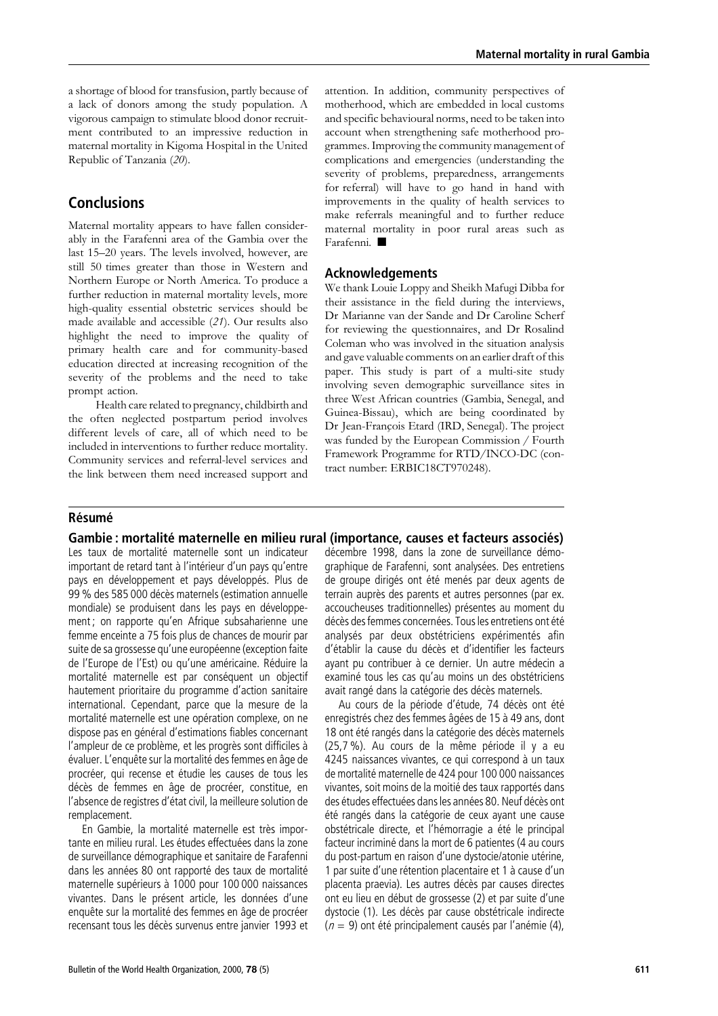a shortage of blood for transfusion, partly because of a lack of donors among the study population. A vigorous campaign to stimulate blood donor recruitment contributed to an impressive reduction in maternal mortality in Kigoma Hospital in the United Republic of Tanzania (20).

### **Conclusions**

Maternal mortality appears to have fallen considerably in the Farafenni area of the Gambia over the last 15-20 years. The levels involved, however, are still 50 times greater than those in Western and Northern Europe or North America. To produce a further reduction in maternal mortality levels, more high-quality essential obstetric services should be made available and accessible (21). Our results also highlight the need to improve the quality of primary health care and for community-based education directed at increasing recognition of the severity of the problems and the need to take prompt action.

Health care related to pregnancy, childbirth and the often neglected postpartum period involves different levels of care, all of which need to be included in interventions to further reduce mortality. Community services and referral-level services and the link between them need increased support and attention. In addition, community perspectives of motherhood, which are embedded in local customs and specific behavioural norms, need to be taken into account when strengthening safe motherhood programmes. Improving the community management of complications and emergencies (understanding the severity of problems, preparedness, arrangements for referral) will have to go hand in hand with improvements in the quality of health services to make referrals meaningful and to further reduce maternal mortality in poor rural areas such as Farafenni.

### **Acknowledgements**

We thank Louie Loppy and Sheikh Mafugi Dibba for their assistance in the field during the interviews. Dr Marianne van der Sande and Dr Caroline Scherf for reviewing the questionnaires, and Dr Rosalind Coleman who was involved in the situation analysis and gave valuable comments on an earlier draft of this paper. This study is part of a multi-site study involving seven demographic surveillance sites in three West African countries (Gambia, Senegal, and Guinea-Bissau), which are being coordinated by Dr Jean-François Etard (IRD, Senegal). The project was funded by the European Commission / Fourth Framework Programme for RTD/INCO-DC (contract number: ERBIC18CT970248).

### Résumé

#### Gambie : mortalité maternelle en milieu rural (importance, causes et facteurs associés)

Les taux de mortalité maternelle sont un indicateur important de retard tant à l'intérieur d'un pays qu'entre pays en développement et pays développés. Plus de 99 % des 585 000 décès maternels (estimation annuelle mondiale) se produisent dans les pays en développement; on rapporte qu'en Afrique subsaharienne une femme enceinte a 75 fois plus de chances de mourir par suite de sa grossesse qu'une européenne (exception faite de l'Europe de l'Est) ou qu'une américaine. Réduire la mortalité maternelle est par conséquent un objectif hautement prioritaire du programme d'action sanitaire international. Cependant, parce que la mesure de la mortalité maternelle est une opération complexe, on ne dispose pas en général d'estimations fiables concernant l'ampleur de ce problème, et les progrès sont difficiles à évaluer. L'enquête sur la mortalité des femmes en âge de procréer, qui recense et étudie les causes de tous les décès de femmes en âge de procréer, constitue, en l'absence de registres d'état civil. la meilleure solution de remplacement.

En Gambie, la mortalité maternelle est très importante en milieu rural. Les études effectuées dans la zone de surveillance démographique et sanitaire de Farafenni dans les années 80 ont rapporté des taux de mortalité maternelle supérieurs à 1000 pour 100 000 naissances vivantes. Dans le présent article, les données d'une enquête sur la mortalité des femmes en âge de procréer recensant tous les décès survenus entre janvier 1993 et décembre 1998, dans la zone de surveillance démographique de Farafenni, sont analysées. Des entretiens de groupe dirigés ont été menés par deux agents de terrain auprès des parents et autres personnes (par ex. accoucheuses traditionnelles) présentes au moment du décès des femmes concernées. Tous les entretiens ont été analysés par deux obstétriciens expérimentés afin d'établir la cause du décès et d'identifier les facteurs ayant pu contribuer à ce dernier. Un autre médecin a examiné tous les cas qu'au moins un des obstétriciens avait rangé dans la catégorie des décès maternels.

Au cours de la période d'étude, 74 décès ont été enregistrés chez des femmes âgées de 15 à 49 ans, dont 18 ont été rangés dans la catégorie des décès maternels (25,7 %). Au cours de la même période il y a eu 4245 naissances vivantes, ce qui correspond à un taux de mortalité maternelle de 424 pour 100 000 naissances vivantes, soit moins de la moitié des taux rapportés dans des études effectuées dans les années 80. Neuf décès ont été rangés dans la catégorie de ceux ayant une cause obstétricale directe, et l'hémorragie a été le principal facteur incriminé dans la mort de 6 patientes (4 au cours du post-partum en raison d'une dystocie/atonie utérine. 1 par suite d'une rétention placentaire et 1 à cause d'un placenta praevia). Les autres décès par causes directes ont eu lieu en début de grossesse (2) et par suite d'une dystocie (1). Les décès par cause obstétricale indirecte  $(n = 9)$  ont été principalement causés par l'anémie (4),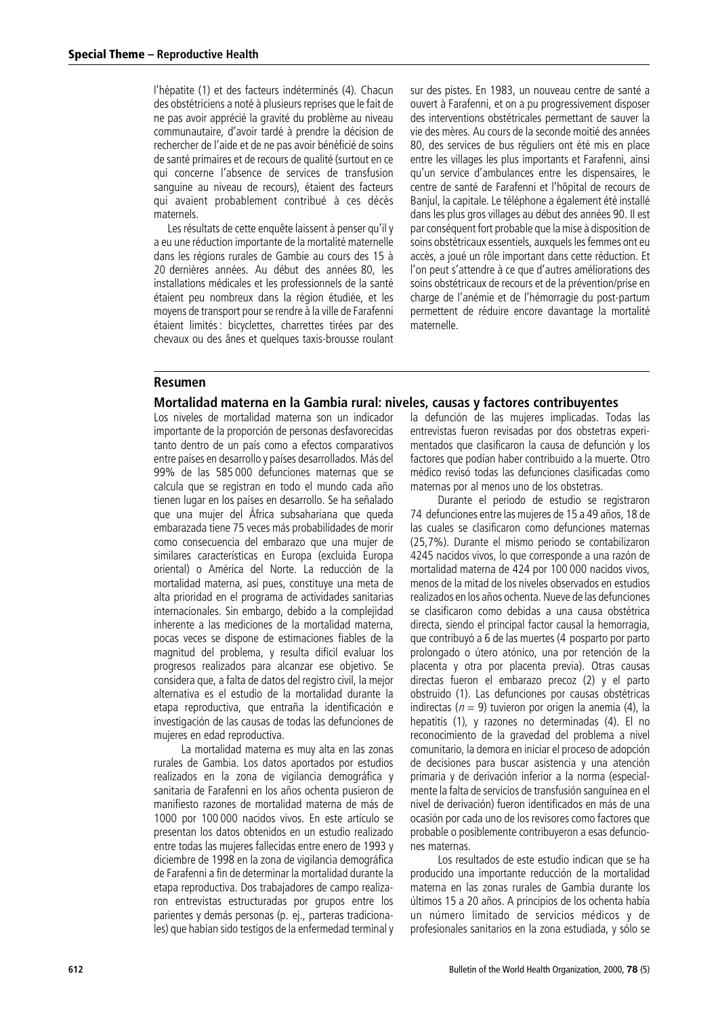l'hépatite (1) et des facteurs indéterminés (4). Chacun des obstétriciens a noté à plusieurs reprises que le fait de ne pas avoir apprécié la gravité du problème au niveau communautaire, d'avoir tardé à prendre la décision de rechercher de l'aide et de ne pas avoir bénéficié de soins de santé primaires et de recours de qualité (surtout en ce qui concerne l'absence de services de transfusion sanguine au niveau de recours), étaient des facteurs qui avaient probablement contribué à ces décès maternels

Les résultats de cette enquête laissent à penser qu'il y a eu une réduction importante de la mortalité maternelle dans les régions rurales de Gambie au cours des 15 à 20 dernières années. Au début des années 80, les installations médicales et les professionnels de la santé étaient peu nombreux dans la région étudiée, et les moyens de transport pour se rendre à la ville de Farafenni étaient limités : bicyclettes, charrettes tirées par des chevaux ou des ânes et quelques taxis-brousse roulant sur des pistes. En 1983, un nouveau centre de santé a ouvert à Farafenni, et on a pu progressivement disposer des interventions obstétricales permettant de sauver la vie des mères. Au cours de la seconde moitié des années 80, des services de bus réguliers ont été mis en place entre les villages les plus importants et Farafenni, ainsi qu'un service d'ambulances entre les dispensaires, le centre de santé de Farafenni et l'hôpital de recours de Banjul, la capitale. Le téléphone a également été installé dans les plus gros villages au début des années 90. Il est par conséquent fort probable que la mise à disposition de soins obstétricaux essentiels, auxquels les femmes ont eu accès, a joué un rôle important dans cette réduction. Et l'on peut s'attendre à ce que d'autres améliorations des soins obstétricaux de recours et de la prévention/prise en charge de l'anémie et de l'hémorragie du post-partum permettent de réduire encore davantage la mortalité maternelle.

### **Resumen**

#### Mortalidad materna en la Gambia rural: niveles, causas y factores contribuyentes

Los niveles de mortalidad materna son un indicador importante de la proporción de personas desfavorecidas tanto dentro de un país como a efectos comparativos entre países en desarrollo y países desarrollados. Más del 99% de las 585 000 defunciones maternas que se calcula que se registran en todo el mundo cada año tienen lugar en los países en desarrollo. Se ha señalado que una mujer del África subsahariana que queda embarazada tiene 75 veces más probabilidades de morir como consecuencia del embarazo que una muier de similares características en Europa (excluida Europa oriental) o América del Norte. La reducción de la mortalidad materna, así pues, constituye una meta de alta prioridad en el programa de actividades sanitarias internacionales. Sin embargo, debido a la complejidad inherente a las mediciones de la mortalidad materna, pocas veces se dispone de estimaciones fiables de la magnitud del problema, y resulta difícil evaluar los progresos realizados para alcanzar ese objetivo. Se considera que, a falta de datos del registro civil, la mejor alternativa es el estudio de la mortalidad durante la etapa reproductiva, que entraña la identificación e investigación de las causas de todas las defunciones de mujeres en edad reproductiva.

La mortalidad materna es muy alta en las zonas rurales de Gambia. Los datos aportados por estudios realizados en la zona de vigilancia demográfica y sanitaria de Farafenni en los años ochenta pusieron de manifiesto razones de mortalidad materna de más de 1000 por 100 000 nacidos vivos. En este artículo se presentan los datos obtenidos en un estudio realizado entre todas las mujeres fallecidas entre enero de 1993 y diciembre de 1998 en la zona de vigilancia demográfica de Farafenni a fin de determinar la mortalidad durante la etapa reproductiva. Dos trabajadores de campo realizaron entrevistas estructuradas por grupos entre los parientes y demás personas (p. ej., parteras tradicionales) que habían sido testigos de la enfermedad terminal y la defunción de las mujeres implicadas. Todas las entrevistas fueron revisadas por dos obstetras experimentados que clasificaron la causa de defunción y los factores que podían haber contribuido a la muerte. Otro médico revisó todas las defunciones clasificadas como maternas por al menos uno de los obstetras.

Durante el periodo de estudio se registraron 74 defunciones entre las mujeres de 15 a 49 años, 18 de las cuales se clasificaron como defunciones maternas (25.7%). Durante el mismo periodo se contabilizaron 4245 nacidos vivos, lo que corresponde a una razón de mortalidad materna de 424 por 100 000 nacidos vivos, menos de la mitad de los niveles observados en estudios realizados en los años ochenta. Nueve de las defunciones se clasificaron como debidas a una causa obstétrica directa, siendo el principal factor causal la hemorragia, que contribuyó a 6 de las muertes (4 posparto por parto prolongado o útero atónico, una por retención de la placenta y otra por placenta previa). Otras causas directas fueron el embarazo precoz (2) y el parto obstruido (1). Las defunciones por causas obstétricas indirectas ( $n = 9$ ) tuvieron por origen la anemia (4). la hepatitis (1), y razones no determinadas (4). El no reconocimiento de la gravedad del problema a nivel comunitario, la demora en iniciar el proceso de adopción de decisiones para buscar asistencia y una atención primaria y de derivación inferior a la norma (especialmente la falta de servicios de transfusión sanguínea en el nivel de derivación) fueron identificados en más de una ocasión por cada uno de los revisores como factores que probable o posiblemente contribuyeron a esas defunciones maternas.

Los resultados de este estudio indican que se ha producido una importante reducción de la mortalidad materna en las zonas rurales de Gambia durante los últimos 15 a 20 años. A principios de los ochenta había un número limitado de servicios médicos y de profesionales sanitarios en la zona estudiada, y sólo se